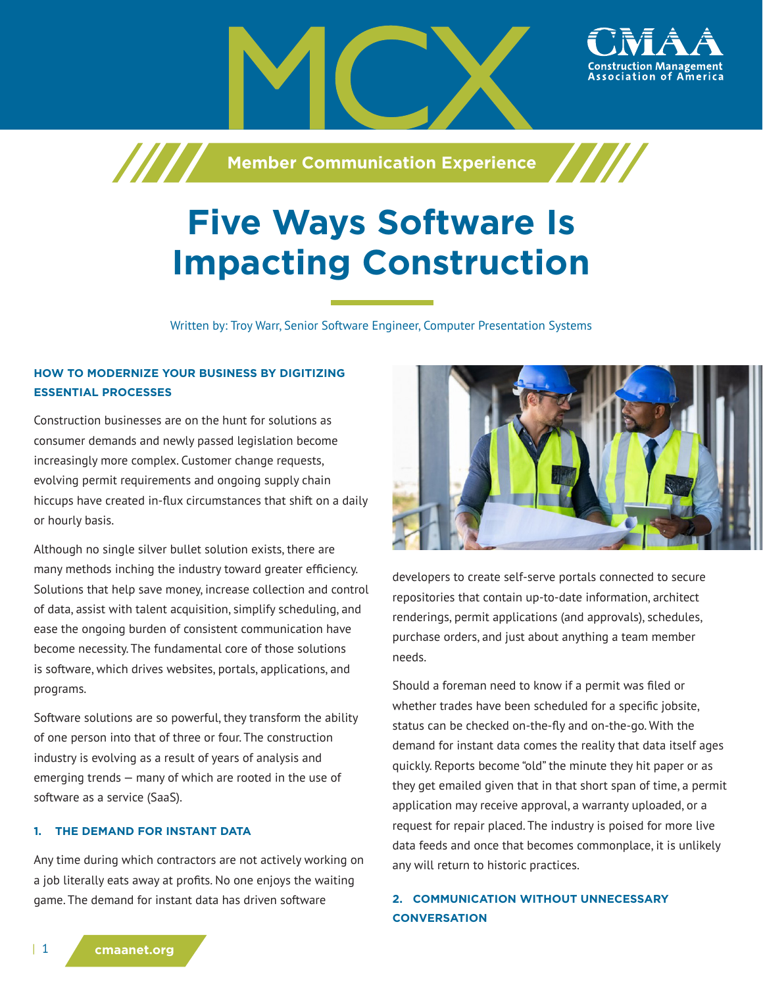

# **Five Ways Software Is Impacting Construction**

Written by: Troy Warr, Senior Software Engineer, Computer Presentation Systems

# **HOW TO MODERNIZE YOUR BUSINESS BY DIGITIZING ESSENTIAL PROCESSES**

Construction businesses are on the hunt for solutions as consumer demands and newly passed legislation become increasingly more complex. Customer change requests, evolving permit requirements and ongoing supply chain hiccups have created in-flux circumstances that shift on a daily or hourly basis.

Although no single silver bullet solution exists, there are many methods inching the industry toward greater efficiency. Solutions that help save money, increase collection and control of data, assist with talent acquisition, simplify scheduling, and ease the ongoing burden of consistent communication have become necessity. The fundamental core of those solutions is software, which drives websites, portals, applications, and programs.

Software solutions are so powerful, they transform the ability of one person into that of three or four. The construction industry is evolving as a result of years of analysis and emerging trends — many of which are rooted in the use of software as a service (SaaS).

### **1. THE DEMAND FOR INSTANT DATA**

Any time during which contractors are not actively working on a job literally eats away at profits. No one enjoys the waiting game. The demand for instant data has driven software



ssociation of

developers to create self-serve portals connected to secure repositories that contain up-to-date information, architect renderings, permit applications (and approvals), schedules, purchase orders, and just about anything a team member needs.

Should a foreman need to know if a permit was filed or whether trades have been scheduled for a specific jobsite, status can be checked on-the-fly and on-the-go. With the demand for instant data comes the reality that data itself ages quickly. Reports become "old" the minute they hit paper or as they get emailed given that in that short span of time, a permit application may receive approval, a warranty uploaded, or a request for repair placed. The industry is poised for more live data feeds and once that becomes commonplace, it is unlikely any will return to historic practices.

# **2. COMMUNICATION WITHOUT UNNECESSARY CONVERSATION**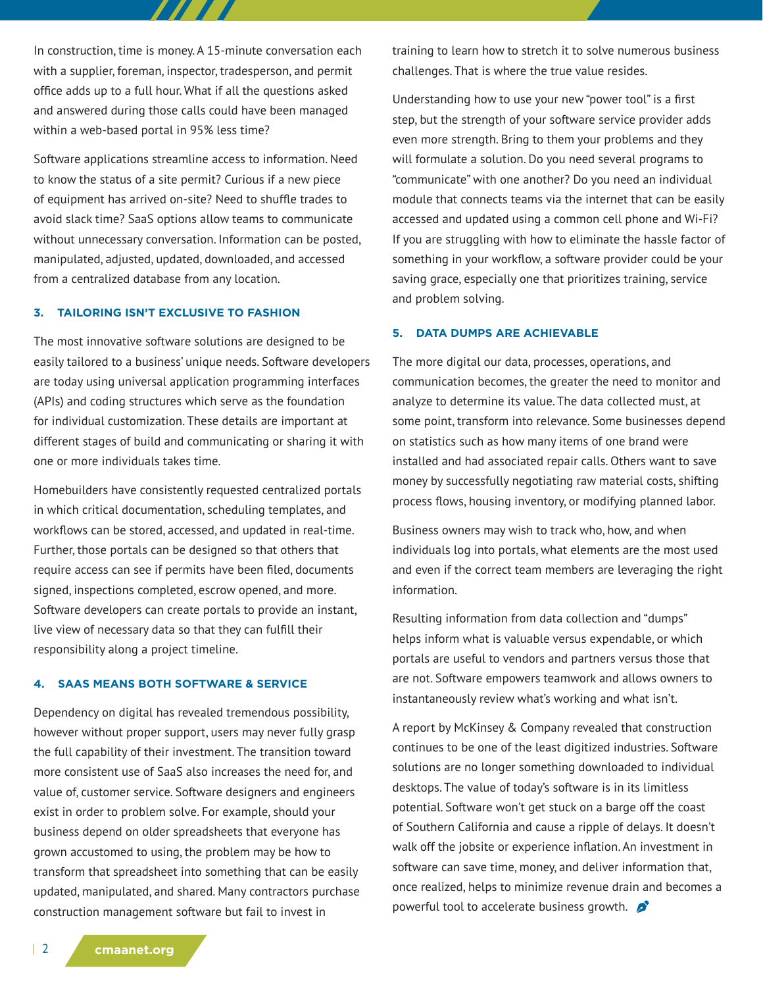In construction, time is money. A 15-minute conversation each with a supplier, foreman, inspector, tradesperson, and permit office adds up to a full hour. What if all the questions asked and answered during those calls could have been managed within a web-based portal in 95% less time?

7 7 7 7 7 7

Software applications streamline access to information. Need to know the status of a site permit? Curious if a new piece of equipment has arrived on-site? Need to shuffle trades to avoid slack time? SaaS options allow teams to communicate without unnecessary conversation. Information can be posted, manipulated, adjusted, updated, downloaded, and accessed from a centralized database from any location.

#### **3. TAILORING ISN'T EXCLUSIVE TO FASHION**

The most innovative software solutions are designed to be easily tailored to a business' unique needs. Software developers are today using universal application programming interfaces (APIs) and coding structures which serve as the foundation for individual customization. These details are important at different stages of build and communicating or sharing it with one or more individuals takes time.

Homebuilders have consistently requested centralized portals in which critical documentation, scheduling templates, and workflows can be stored, accessed, and updated in real-time. Further, those portals can be designed so that others that require access can see if permits have been filed, documents signed, inspections completed, escrow opened, and more. Software developers can create portals to provide an instant, live view of necessary data so that they can fulfill their responsibility along a project timeline.

#### **4. SAAS MEANS BOTH SOFTWARE & SERVICE**

Dependency on digital has revealed tremendous possibility, however without proper support, users may never fully grasp the full capability of their investment. The transition toward more consistent use of SaaS also increases the need for, and value of, customer service. Software designers and engineers exist in order to problem solve. For example, should your business depend on older spreadsheets that everyone has grown accustomed to using, the problem may be how to transform that spreadsheet into something that can be easily updated, manipulated, and shared. Many contractors purchase construction management software but fail to invest in

training to learn how to stretch it to solve numerous business challenges. That is where the true value resides.

Understanding how to use your new "power tool" is a first step, but the strength of your software service provider adds even more strength. Bring to them your problems and they will formulate a solution. Do you need several programs to "communicate" with one another? Do you need an individual module that connects teams via the internet that can be easily accessed and updated using a common cell phone and Wi-Fi? If you are struggling with how to eliminate the hassle factor of something in your workflow, a software provider could be your saving grace, especially one that prioritizes training, service and problem solving.

#### **5. DATA DUMPS ARE ACHIEVABLE**

The more digital our data, processes, operations, and communication becomes, the greater the need to monitor and analyze to determine its value. The data collected must, at some point, transform into relevance. Some businesses depend on statistics such as how many items of one brand were installed and had associated repair calls. Others want to save money by successfully negotiating raw material costs, shifting process flows, housing inventory, or modifying planned labor.

Business owners may wish to track who, how, and when individuals log into portals, what elements are the most used and even if the correct team members are leveraging the right information.

Resulting information from data collection and "dumps" helps inform what is valuable versus expendable, or which portals are useful to vendors and partners versus those that are not. Software empowers teamwork and allows owners to instantaneously review what's working and what isn't.

A report by McKinsey & Company revealed that construction continues to be one of the least digitized industries. Software solutions are no longer something downloaded to individual desktops. The value of today's software is in its limitless potential. Software won't get stuck on a barge off the coast of Southern California and cause a ripple of delays. It doesn't walk off the jobsite or experience inflation. An investment in software can save time, money, and deliver information that, once realized, helps to minimize revenue drain and becomes a powerful tool to accelerate business growth.  $\bullet$